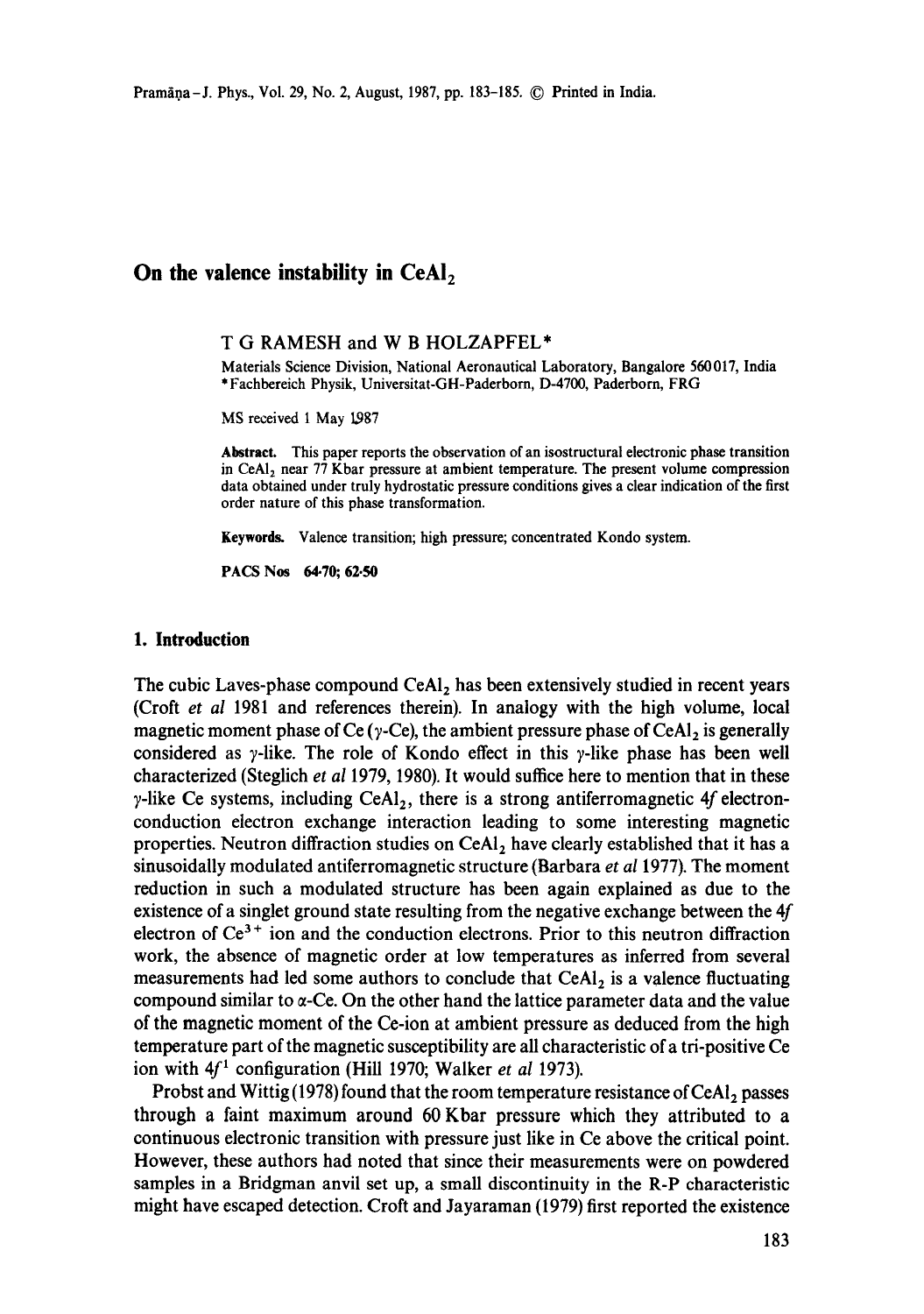# **On the valence instability in CeAl<sub>2</sub>**

### T G RAMESH and W B HOLZAPFEL\*

Materials Science Division, National Aeronautical Laboratory, Bangalore 560017, India \* Fachbereich Physik, Universitat-GH-Paderborn, D-4700, Paderborn, FRG

MS received 1 May 1987

**Abstract.** This paper reports the observation of an isostructural electronic phase transition in CeA1<sub>2</sub> near 77 Kbar pressure at ambient temperature. The present volume compression data obtained under truly hydrostatic pressure conditions gives a clear indication of the first order nature of this phase transformation.

**Keywords.** Valence transition; high pressure; concentrated Kondo system.

PACS Nos 64.70; 62.50

## **1. Introduction**

The cubic Laves-phase compound  $\text{CeAl}_2$  has been extensively studied in recent years (Croft *et al* 1981 and references therein). In analogy with the high volume, local magnetic moment phase of Ce ( $\gamma$ -Ce), the ambient pressure phase of CeAl<sub>2</sub> is generally considered as  $\gamma$ -like. The role of Kondo effect in this  $\gamma$ -like phase has been well characterized (Steglich *et al* 1979, 1980). It would suffice here to mention that in these  $\gamma$ -like Ce systems, including CeA1<sub>2</sub>, there is a strong antiferromagnetic 4f electronconduction electron exchange interaction leading to some interesting magnetic properties. Neutron diffraction studies on  $CeAl<sub>2</sub>$  have clearly established that it has a sinusoidally modulated antiferromagnetic structure (Barbara *et al* 1977). The moment reduction in such a modulated structure has been again explained as due to the existence of a singlet ground state resulting from the negative exchange between the 4f electron of  $Ce^{3+}$  ion and the conduction electrons. Prior to this neutron diffraction work, the absence of magnetic order at low temperatures as inferred from several measurements had led some authors to conclude that  $CeAl<sub>2</sub>$  is a valence fluctuating compound similar to  $\alpha$ -Ce. On the other hand the lattice parameter data and the value of the magnetic moment of the Ce-ion at ambient pressure as deduced from the high temperature part of the magnetic susceptibility are all characteristic of a tri-positive Ce ion with  $4f<sup>1</sup>$  configuration (Hill 1970; Walker *et al* 1973).

Probst and Wittig (1978) found that the room temperature resistance of CeAl<sub>2</sub> passes through a faint maximum around 60 Kbar pressure which they attributed to a continuous electronic transition with pressure just like in Ce above the critical point. However, these authors had noted that since their measurements were on powdered samples in a Bridgman anvil set up, a small discontinuity in the R-P characteristic might have escaped detection. Croft and Jayaraman (1979) first reported the existence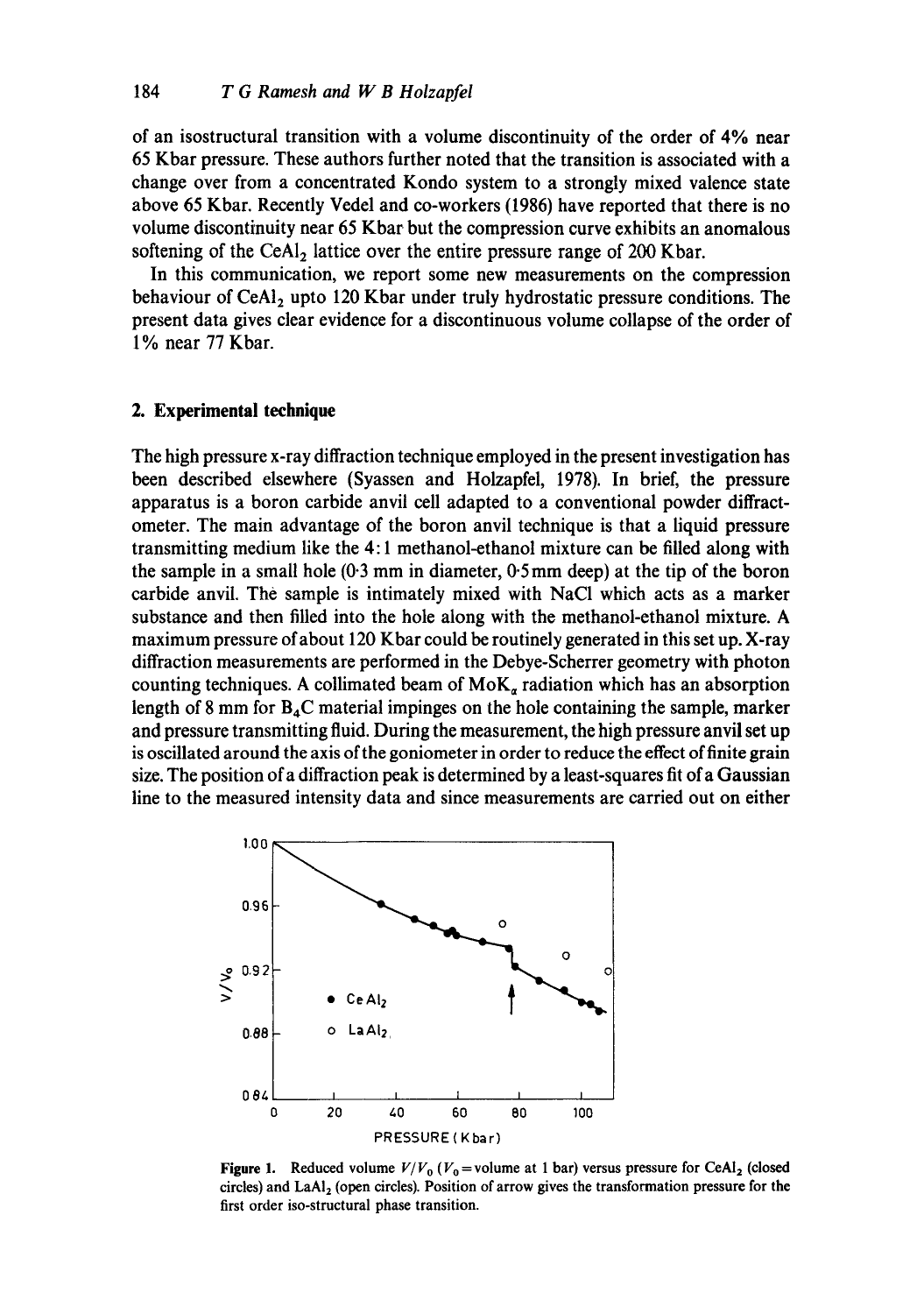of an isostructural transition with a volume discontinuity of the order of 4% near 65 Kbar pressure. These authors further noted that the transition is associated with a change over from a concentrated Kondo system to a strongly mixed valence state above 65 Kbar. Recently Vedel and co-workers (1986) have reported that there is no volume discontinuity near 65 Kbar but the compression curve exhibits an anomalous softening of the CeA1<sub>2</sub> lattice over the entire pressure range of 200 Kbar.

In this communication, we report some new measurements on the compression behaviour of CeAl<sub>2</sub> upto 120 Kbar under truly hydrostatic pressure conditions. The present data gives clear evidence for a discontinuous volume collapse of the order of 1% near 77 Kbar.

### **2. Experimental technique**

The high pressure x-ray diffraction technique employed in the present investigation has been described elsewhere (Syassen and Holzapfel, 1978). In brief, the pressure apparatus is a boron carbide anvil cell adapted to a conventional powder diffractometer. The main advantage of the boron anvil technique is that a liquid pressure transmitting medium like the 4:1 methanol-ethanol mixture can be filled along with the sample in a small hole (0.3 mm in diameter, 0.5mm deep) at the tip of the boron carbide anvil. The sample is intimately mixed with NaC1 which acts as a marker substance and then filled into the hole along with the methanol-ethanol mixture. A maximum pressure of about 120 Kbar could be routinely generated in this set up. X-ray diffraction measurements are performed in the Debye-Scherrer geometry with photon counting techniques. A collimated beam of  $M \circ K_a$  radiation which has an absorption length of 8 mm for  $B_4C$  material impinges on the hole containing the sample, marker and pressure transmitting fluid. During the measurement, the high pressure anvil set up is oscillated around the axis of the goniometer in order to reduce the effect of finite grain size. The position of a diffraction peak is determined by a least-squares fit ofa Gaussian line to the measured intensity data and since measurements are carried out on either



**Figure 1.** Reduced volume  $V/V_0$  ( $V_0$  = volume at 1 bar) versus pressure for CeA1<sub>2</sub> (closed circles) and LaAl<sub>2</sub> (open circles). Position of arrow gives the transformation pressure for the first order iso-structural phase transition.